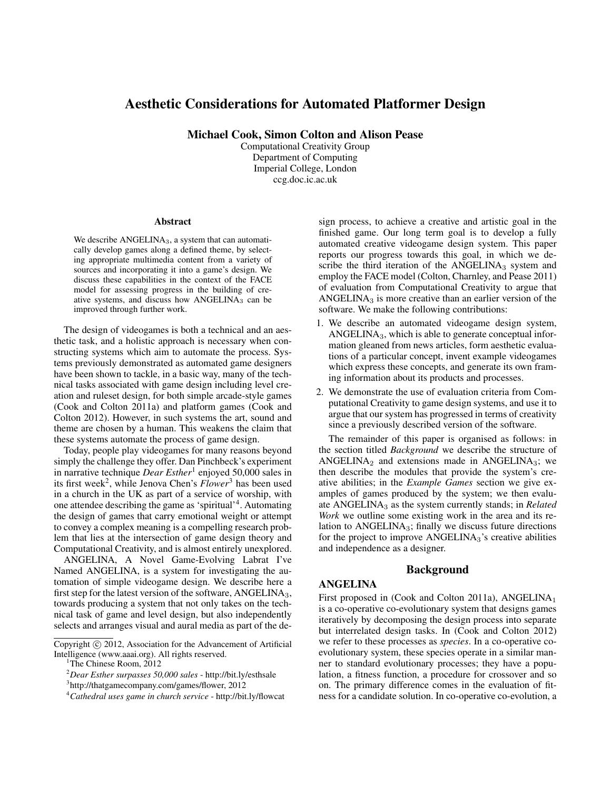# Aesthetic Considerations for Automated Platformer Design

Michael Cook, Simon Colton and Alison Pease

Computational Creativity Group Department of Computing Imperial College, London ccg.doc.ic.ac.uk

#### Abstract

We describe  $ANGELINA<sub>3</sub>$ , a system that can automatically develop games along a defined theme, by selecting appropriate multimedia content from a variety of sources and incorporating it into a game's design. We discuss these capabilities in the context of the FACE model for assessing progress in the building of creative systems, and discuss how ANGELINA<sup>3</sup> can be improved through further work.

The design of videogames is both a technical and an aesthetic task, and a holistic approach is necessary when constructing systems which aim to automate the process. Systems previously demonstrated as automated game designers have been shown to tackle, in a basic way, many of the technical tasks associated with game design including level creation and ruleset design, for both simple arcade-style games (Cook and Colton 2011a) and platform games (Cook and Colton 2012). However, in such systems the art, sound and theme are chosen by a human. This weakens the claim that these systems automate the process of game design.

Today, people play videogames for many reasons beyond simply the challenge they offer. Dan Pinchbeck's experiment in narrative technique *Dear Esther*<sup>1</sup> enjoyed 50,000 sales in its first week2, while Jenova Chen's *Flower*<sup>3</sup> has been used in a church in the UK as part of a service of worship, with one attendee describing the game as 'spiritual'4. Automating the design of games that carry emotional weight or attempt to convey a complex meaning is a compelling research problem that lies at the intersection of game design theory and Computational Creativity, and is almost entirely unexplored.

ANGELINA, A Novel Game-Evolving Labrat I've Named ANGELINA, is a system for investigating the automation of simple videogame design. We describe here a first step for the latest version of the software,  $\triangle$ NGELINA<sub>3</sub>, towards producing a system that not only takes on the technical task of game and level design, but also independently selects and arranges visual and aural media as part of the de-

sign process, to achieve a creative and artistic goal in the finished game. Our long term goal is to develop a fully automated creative videogame design system. This paper reports our progress towards this goal, in which we describe the third iteration of the  $ANGELINA<sub>3</sub>$  system and employ the FACE model (Colton, Charnley, and Pease 2011) of evaluation from Computational Creativity to argue that ANGELINA<sub>3</sub> is more creative than an earlier version of the software. We make the following contributions:

- 1. We describe an automated videogame design system, ANGELINA3, which is able to generate conceptual information gleaned from news articles, form aesthetic evaluations of a particular concept, invent example videogames which express these concepts, and generate its own framing information about its products and processes.
- 2. We demonstrate the use of evaluation criteria from Computational Creativity to game design systems, and use it to argue that our system has progressed in terms of creativity since a previously described version of the software.

The remainder of this paper is organised as follows: in the section titled *Background* we describe the structure of ANGELINA<sub>2</sub> and extensions made in ANGELINA<sub>3</sub>; we then describe the modules that provide the system's creative abilities; in the *Example Games* section we give examples of games produced by the system; we then evaluate ANGELINA<sup>3</sup> as the system currently stands; in *Related Work* we outline some existing work in the area and its relation to  $ANGELINA<sub>3</sub>$ ; finally we discuss future directions for the project to improve ANGELINA<sub>3</sub>'s creative abilities and independence as a designer.

## Background

#### ANGELINA

First proposed in (Cook and Colton 2011a), ANGELINA<sub>1</sub> is a co-operative co-evolutionary system that designs games iteratively by decomposing the design process into separate but interrelated design tasks. In (Cook and Colton 2012) we refer to these processes as *species*. In a co-operative coevolutionary system, these species operate in a similar manner to standard evolutionary processes; they have a population, a fitness function, a procedure for crossover and so on. The primary difference comes in the evaluation of fitness for a candidate solution. In co-operative co-evolution, a

Copyright  $\odot$  2012, Association for the Advancement of Artificial Intelligence (www.aaai.org). All rights reserved.

<sup>&</sup>lt;sup>1</sup>The Chinese Room, 2012

<sup>2</sup> *Dear Esther surpasses 50,000 sales* - http://bit.ly/esthsale

<sup>3</sup> http://thatgamecompany.com/games/flower, 2012

<sup>4</sup> *Cathedral uses game in church service* - http://bit.ly/flowcat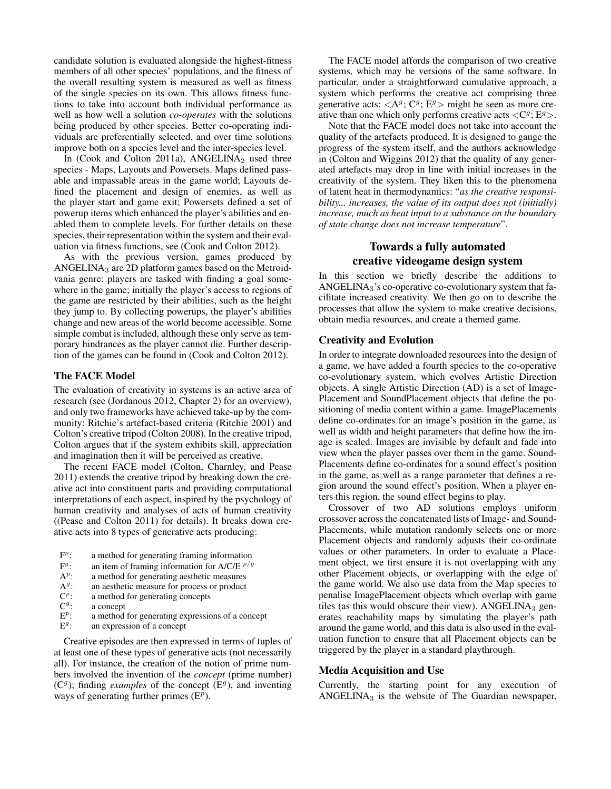candidate solution is evaluated alongside the highest-fitness members of all other species' populations, and the fitness of the overall resulting system is measured as well as fitness of the single species on its own. This allows fitness functions to take into account both individual performance as well as how well a solution *co-operates* with the solutions being produced by other species. Better co-operating individuals are preferentially selected, and over time solutions improve both on a species level and the inter-species level.

In (Cook and Colton 2011a), ANGELINA<sub>2</sub> used three species - Maps, Layouts and Powersets. Maps defined passable and impassable areas in the game world; Layouts defined the placement and design of enemies, as well as the player start and game exit; Powersets defined a set of powerup items which enhanced the player's abilities and enabled them to complete levels. For further details on these species, their representation within the system and their evaluation via fitness functions, see (Cook and Colton 2012).

As with the previous version, games produced by ANGELINA $_3$  are 2D platform games based on the Metroidvania genre: players are tasked with finding a goal somewhere in the game; initially the player's access to regions of the game are restricted by their abilities, such as the height they jump to. By collecting powerups, the player's abilities change and new areas of the world become accessible. Some simple combat is included, although these only serve as temporary hindrances as the player cannot die. Further description of the games can be found in (Cook and Colton 2012).

#### The FACE Model

The evaluation of creativity in systems is an active area of research (see (Jordanous 2012, Chapter 2) for an overview), and only two frameworks have achieved take-up by the community: Ritchie's artefact-based criteria (Ritchie 2001) and Colton's creative tripod (Colton 2008). In the creative tripod, Colton argues that if the system exhibits skill, appreciation and imagination then it will be perceived as creative.

The recent FACE model (Colton, Charnley, and Pease 2011) extends the creative tripod by breaking down the creative act into constituent parts and providing computational interpretations of each aspect, inspired by the psychology of human creativity and analyses of acts of human creativity ((Pease and Colton 2011) for details). It breaks down creative acts into 8 types of generative acts producing:

- F*<sup>p</sup>*: a method for generating framing information
- $F^g$ : an item of framing information for A/C/E  $p/g$ <br>A<sup>*p*</sup>: a method for generating aesthetic measures
- $A^p$ : a method for generating aesthetic measures  $A^g$ : an aesthetic measure for process or product
- $A^g$ : an aesthetic measure for process or product  $C^p$ : a method for generating concepts
- $C^p$ : a method for generating concepts<br> $C^g$ : a concept
- $C^g$ : a concept<br> $E^p$ : a method
- $E^p$ : a method for generating expressions of a concept  $E^g$ : an expression of a concept
- E*<sup>g</sup>*: an expression of a concept

Creative episodes are then expressed in terms of tuples of at least one of these types of generative acts (not necessarily all). For instance, the creation of the notion of prime numbers involved the invention of the *concept* (prime number)  $(C<sup>g</sup>)$ ; finding *examples* of the concept  $(E<sup>g</sup>)$ , and inventing ways of generating further primes (E*<sup>p</sup>*).

The FACE model affords the comparison of two creative systems, which may be versions of the same software. In particular, under a straightforward cumulative approach, a system which performs the creative act comprising three generative acts:  $\langle A^g; C^g; E^g \rangle$  might be seen as more creative than one which only performs creative acts  $\langle C^g; E^g \rangle$ .

Note that the FACE model does not take into account the quality of the artefacts produced. It is designed to gauge the progress of the system itself, and the authors acknowledge in (Colton and Wiggins 2012) that the quality of any generated artefacts may drop in line with initial increases in the creativity of the system. They liken this to the phenomena of latent heat in thermodynamics: "*as the creative responsibility... increases, the value of its output does not (initially) increase, much as heat input to a substance on the boundary of state change does not increase temperature*".

# Towards a fully automated creative videogame design system

In this section we briefly describe the additions to ANGELINA3's co-operative co-evolutionary system that facilitate increased creativity. We then go on to describe the processes that allow the system to make creative decisions, obtain media resources, and create a themed game.

#### Creativity and Evolution

In order to integrate downloaded resources into the design of a game, we have added a fourth species to the co-operative co-evolutionary system, which evolves Artistic Direction objects. A single Artistic Direction (AD) is a set of Image-Placement and SoundPlacement objects that define the positioning of media content within a game. ImagePlacements define co-ordinates for an image's position in the game, as well as width and height parameters that define how the image is scaled. Images are invisible by default and fade into view when the player passes over them in the game. Sound-Placements define co-ordinates for a sound effect's position in the game, as well as a range parameter that defines a region around the sound effect's position. When a player enters this region, the sound effect begins to play.

Crossover of two AD solutions employs uniform crossover across the concatenated lists of Image- and Sound-Placements, while mutation randomly selects one or more Placement objects and randomly adjusts their co-ordinate values or other parameters. In order to evaluate a Placement object, we first ensure it is not overlapping with any other Placement objects, or overlapping with the edge of the game world. We also use data from the Map species to penalise ImagePlacement objects which overlap with game tiles (as this would obscure their view). ANGELINA $_3$  generates reachability maps by simulating the player's path around the game world, and this data is also used in the evaluation function to ensure that all Placement objects can be triggered by the player in a standard playthrough.

#### Media Acquisition and Use

Currently, the starting point for any execution of ANGELINA $_3$  is the website of The Guardian newspaper,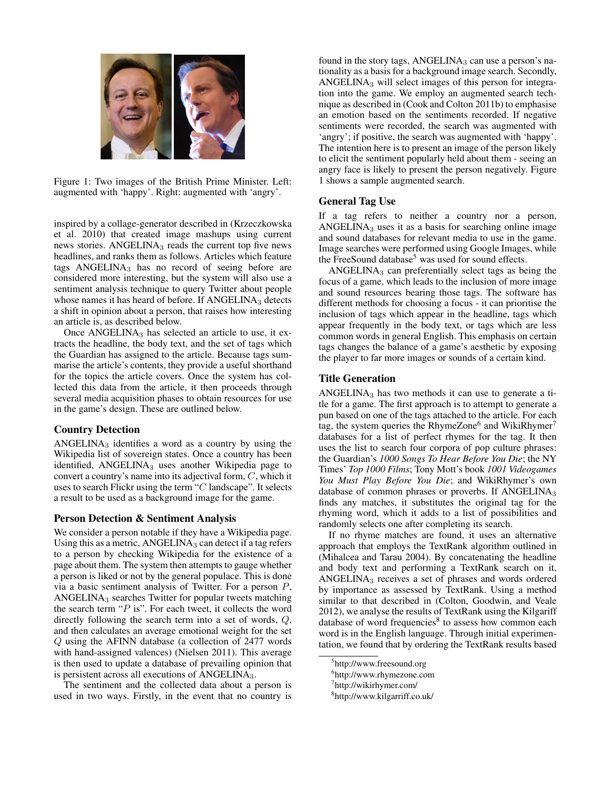

Figure 1: Two images of the British Prime Minister. Left: augmented with 'happy'. Right: augmented with 'angry'.

inspired by a collage-generator described in (Krzeczkowska et al. 2010) that created image mashups using current news stories. ANGELINA<sub>3</sub> reads the current top five news headlines, and ranks them as follows. Articles which feature tags ANGELINA<sub>3</sub> has no record of seeing before are considered more interesting, but the system will also use a sentiment analysis technique to query Twitter about people whose names it has heard of before. If  $\triangle$ NGELINA<sub>3</sub> detects a shift in opinion about a person, that raises how interesting an article is, as described below.

Once ANGELINA<sub>3</sub> has selected an article to use, it extracts the headline, the body text, and the set of tags which the Guardian has assigned to the article. Because tags summarise the article's contents, they provide a useful shorthand for the topics the article covers. Once the system has collected this data from the article, it then proceeds through several media acquisition phases to obtain resources for use in the game's design. These are outlined below.

## Country Detection

ANGELINA $_3$  identifies a word as a country by using the Wikipedia list of sovereign states. Once a country has been identified, ANGELINA<sub>3</sub> uses another Wikipedia page to convert a country's name into its adjectival form, *C*, which it uses to search Flickr using the term "*C* landscape". It selects a result to be used as a background image for the game.

## Person Detection & Sentiment Analysis

We consider a person notable if they have a Wikipedia page. Using this as a metric,  $ANGELINA_3$  can detect if a tag refers to a person by checking Wikipedia for the existence of a page about them. The system then attempts to gauge whether a person is liked or not by the general populace. This is done via a basic sentiment analysis of Twitter. For a person *P*, ANGELINA<sup>3</sup> searches Twitter for popular tweets matching the search term "*P* is". For each tweet, it collects the word directly following the search term into a set of words, *Q*, and then calculates an average emotional weight for the set *Q* using the AFINN database (a collection of 2477 words with hand-assigned valences) (Nielsen 2011). This average is then used to update a database of prevailing opinion that is persistent across all executions of ANGELINA3.

The sentiment and the collected data about a person is used in two ways. Firstly, in the event that no country is

found in the story tags,  $ANGELINA<sub>3</sub>$  can use a person's nationality as a basis for a background image search. Secondly, ANGELINA<sup>3</sup> will select images of this person for integration into the game. We employ an augmented search technique as described in (Cook and Colton 2011b) to emphasise an emotion based on the sentiments recorded. If negative sentiments were recorded, the search was augmented with 'angry'; if positive, the search was augmented with 'happy'. The intention here is to present an image of the person likely to elicit the sentiment popularly held about them - seeing an angry face is likely to present the person negatively. Figure 1 shows a sample augmented search.

## General Tag Use

If a tag refers to neither a country nor a person, ANGELINA<sub>3</sub> uses it as a basis for searching online image and sound databases for relevant media to use in the game. Image searches were performed using Google Images, while the FreeSound database<sup>5</sup> was used for sound effects.

ANGELINA<sub>3</sub> can preferentially select tags as being the focus of a game, which leads to the inclusion of more image and sound resources bearing those tags. The software has different methods for choosing a focus - it can prioritise the inclusion of tags which appear in the headline, tags which appear frequently in the body text, or tags which are less common words in general English. This emphasis on certain tags changes the balance of a game's aesthetic by exposing the player to far more images or sounds of a certain kind.

## Title Generation

 $ANGELINA<sub>3</sub>$  has two methods it can use to generate a title for a game. The first approach is to attempt to generate a pun based on one of the tags attached to the article. For each tag, the system queries the RhymeZone<sup>6</sup> and WikiRhymer<sup>7</sup> databases for a list of perfect rhymes for the tag. It then uses the list to search four corpora of pop culture phrases: the Guardian's *1000 Songs To Hear Before You Die*; the NY Times' *Top 1000 Films*; Tony Mott's book *1001 Videogames You Must Play Before You Die*; and WikiRhymer's own database of common phrases or proverbs. If  $\triangle A\triangle B\triangle I$ finds any matches, it substitutes the original tag for the rhyming word, which it adds to a list of possibilities and randomly selects one after completing its search.

If no rhyme matches are found, it uses an alternative approach that employs the TextRank algorithm outlined in (Mihalcea and Tarau 2004). By concatenating the headline and body text and performing a TextRank search on it, ANGELINA<sup>3</sup> receives a set of phrases and words ordered by importance as assessed by TextRank. Using a method similar to that described in (Colton, Goodwin, and Veale 2012), we analyse the results of TextRank using the Kilgariff database of word frequencies<sup>8</sup> to assess how common each word is in the English language. Through initial experimentation, we found that by ordering the TextRank results based

<sup>5</sup> http://www.freesound.org

<sup>6</sup> http://www.rhymezone.com

<sup>7</sup> http://wikirhymer.com/

<sup>8</sup> http://www.kilgarriff.co.uk/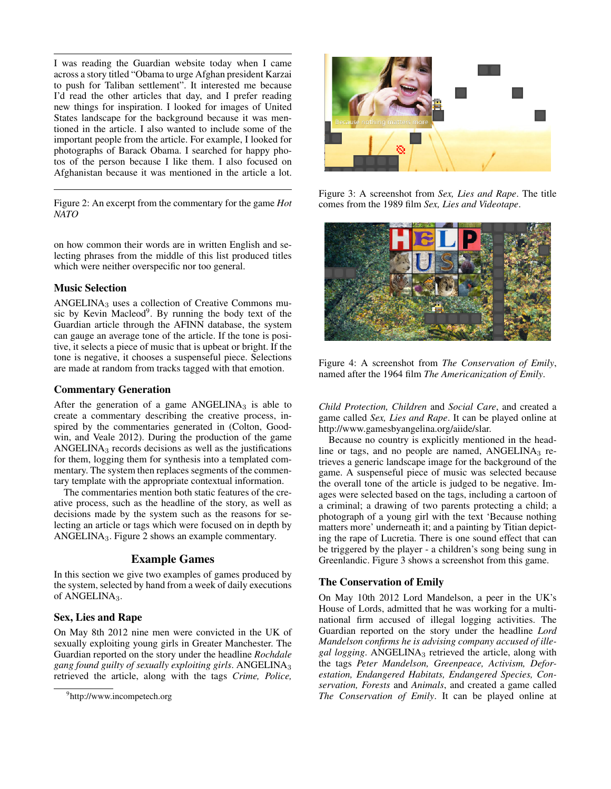I was reading the Guardian website today when I came across a story titled "Obama to urge Afghan president Karzai to push for Taliban settlement". It interested me because I'd read the other articles that day, and I prefer reading new things for inspiration. I looked for images of United States landscape for the background because it was mentioned in the article. I also wanted to include some of the important people from the article. For example, I looked for photographs of Barack Obama. I searched for happy photos of the person because I like them. I also focused on Afghanistan because it was mentioned in the article a lot.

Figure 2: An excerpt from the commentary for the game *Hot NATO*

on how common their words are in written English and selecting phrases from the middle of this list produced titles which were neither overspecific nor too general.

## Music Selection

ANGELINA<sup>3</sup> uses a collection of Creative Commons music by Kevin Macleod<sup>9</sup>. By running the body text of the Guardian article through the AFINN database, the system can gauge an average tone of the article. If the tone is positive, it selects a piece of music that is upbeat or bright. If the tone is negative, it chooses a suspenseful piece. Selections are made at random from tracks tagged with that emotion.

## Commentary Generation

After the generation of a game  $ANGELINA<sub>3</sub>$  is able to create a commentary describing the creative process, inspired by the commentaries generated in (Colton, Goodwin, and Veale 2012). During the production of the game ANGELINA $_3$  records decisions as well as the justifications for them, logging them for synthesis into a templated commentary. The system then replaces segments of the commentary template with the appropriate contextual information.

The commentaries mention both static features of the creative process, such as the headline of the story, as well as decisions made by the system such as the reasons for selecting an article or tags which were focused on in depth by ANGELINA3. Figure 2 shows an example commentary.

# Example Games

In this section we give two examples of games produced by the system, selected by hand from a week of daily executions of ANGELINA<sub>3</sub>.

# Sex, Lies and Rape

On May 8th 2012 nine men were convicted in the UK of sexually exploiting young girls in Greater Manchester. The Guardian reported on the story under the headline *Rochdale gang found guilty of sexually exploiting girls*. ANGELINA<sup>3</sup> retrieved the article, along with the tags *Crime, Police,*



Figure 3: A screenshot from *Sex, Lies and Rape*. The title comes from the 1989 film *Sex, Lies and Videotape*.



Figure 4: A screenshot from *The Conservation of Emily*, named after the 1964 film *The Americanization of Emily*.

*Child Protection, Children* and *Social Care*, and created a game called *Sex, Lies and Rape*. It can be played online at http://www.gamesbyangelina.org/aiide/slar.

Because no country is explicitly mentioned in the headline or tags, and no people are named,  $ANGELINA<sub>3</sub>$  retrieves a generic landscape image for the background of the game. A suspenseful piece of music was selected because the overall tone of the article is judged to be negative. Images were selected based on the tags, including a cartoon of a criminal; a drawing of two parents protecting a child; a photograph of a young girl with the text 'Because nothing matters more' underneath it; and a painting by Titian depicting the rape of Lucretia. There is one sound effect that can be triggered by the player - a children's song being sung in Greenlandic. Figure 3 shows a screenshot from this game.

## The Conservation of Emily

On May 10th 2012 Lord Mandelson, a peer in the UK's House of Lords, admitted that he was working for a multinational firm accused of illegal logging activities. The Guardian reported on the story under the headline *Lord Mandelson confirms he is advising company accused of illegal logging*. ANGELINA<sup>3</sup> retrieved the article, along with the tags *Peter Mandelson, Greenpeace, Activism, Deforestation, Endangered Habitats, Endangered Species, Conservation, Forests* and *Animals*, and created a game called *The Conservation of Emily*. It can be played online at

<sup>9</sup> http://www.incompetech.org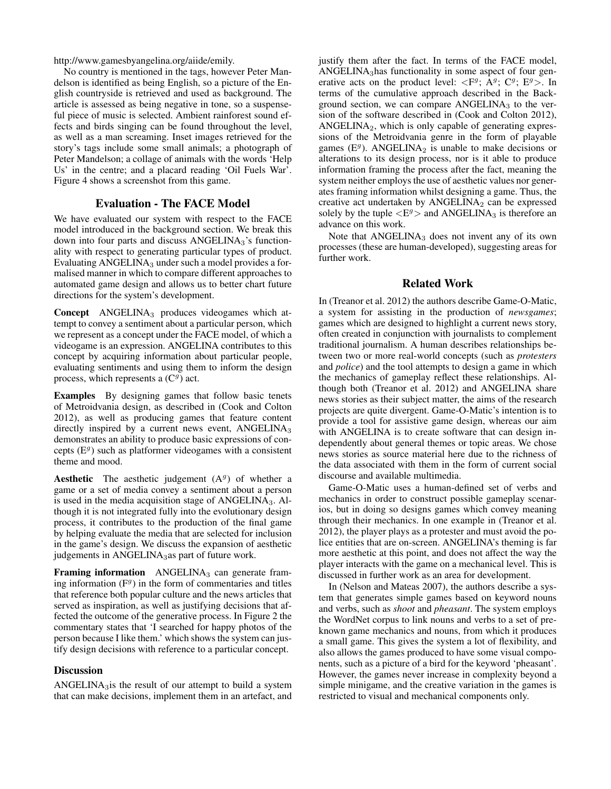http://www.gamesbyangelina.org/aiide/emily.

No country is mentioned in the tags, however Peter Mandelson is identified as being English, so a picture of the English countryside is retrieved and used as background. The article is assessed as being negative in tone, so a suspenseful piece of music is selected. Ambient rainforest sound effects and birds singing can be found throughout the level, as well as a man screaming. Inset images retrieved for the story's tags include some small animals; a photograph of Peter Mandelson; a collage of animals with the words 'Help Us' in the centre; and a placard reading 'Oil Fuels War'. Figure 4 shows a screenshot from this game.

#### Evaluation - The FACE Model

We have evaluated our system with respect to the FACE model introduced in the background section. We break this down into four parts and discuss ANGELINA<sub>3</sub>'s functionality with respect to generating particular types of product. Evaluating  $ANGELINA<sub>3</sub>$  under such a model provides a formalised manner in which to compare different approaches to automated game design and allows us to better chart future directions for the system's development.

Concept ANGELINA<sub>3</sub> produces videogames which attempt to convey a sentiment about a particular person, which we represent as a concept under the FACE model, of which a videogame is an expression. ANGELINA contributes to this concept by acquiring information about particular people, evaluating sentiments and using them to inform the design process, which represents a (C*<sup>g</sup>*) act.

Examples By designing games that follow basic tenets of Metroidvania design, as described in (Cook and Colton 2012), as well as producing games that feature content directly inspired by a current news event,  $ANGELINA<sub>3</sub>$ demonstrates an ability to produce basic expressions of concepts (E*<sup>g</sup>*) such as platformer videogames with a consistent theme and mood.

**Aesthetic** The aesthetic judgement  $(A<sup>g</sup>)$  of whether a game or a set of media convey a sentiment about a person is used in the media acquisition stage of  $ANGELINA<sub>3</sub>$ . Although it is not integrated fully into the evolutionary design process, it contributes to the production of the final game by helping evaluate the media that are selected for inclusion in the game's design. We discuss the expansion of aesthetic judgements in ANGELINA<sub>3</sub>as part of future work.

**Framing information** ANGELINA<sub>3</sub> can generate framing information  $(F<sup>g</sup>)$  in the form of commentaries and titles that reference both popular culture and the news articles that served as inspiration, as well as justifying decisions that affected the outcome of the generative process. In Figure 2 the commentary states that 'I searched for happy photos of the person because I like them.' which shows the system can justify design decisions with reference to a particular concept.

## **Discussion**

ANGELINA $_3$ is the result of our attempt to build a system that can make decisions, implement them in an artefact, and justify them after the fact. In terms of the FACE model, ANGELINA3has functionality in some aspect of four generative acts on the product level:  $\langle F^g; A^g; C^g; E^g \rangle$ . In terms of the cumulative approach described in the Background section, we can compare  $ANGELINA<sub>3</sub>$  to the version of the software described in (Cook and Colton 2012), ANGELINA2, which is only capable of generating expressions of the Metroidvania genre in the form of playable games ( $E<sup>g</sup>$ ). ANGELINA<sub>2</sub> is unable to make decisions or alterations to its design process, nor is it able to produce information framing the process after the fact, meaning the system neither employs the use of aesthetic values nor generates framing information whilst designing a game. Thus, the creative act undertaken by  $ANGELINA<sub>2</sub>$  can be expressed solely by the tuple  $\langle E^g \rangle$  and ANGELINA<sub>3</sub> is therefore an advance on this work.

Note that  $ANGELINA<sub>3</sub>$  does not invent any of its own processes (these are human-developed), suggesting areas for further work.

#### Related Work

In (Treanor et al. 2012) the authors describe Game-O-Matic, a system for assisting in the production of *newsgames*; games which are designed to highlight a current news story, often created in conjunction with journalists to complement traditional journalism. A human describes relationships between two or more real-world concepts (such as *protesters* and *police*) and the tool attempts to design a game in which the mechanics of gameplay reflect these relationships. Although both (Treanor et al. 2012) and ANGELINA share news stories as their subject matter, the aims of the research projects are quite divergent. Game-O-Matic's intention is to provide a tool for assistive game design, whereas our aim with ANGELINA is to create software that can design independently about general themes or topic areas. We chose news stories as source material here due to the richness of the data associated with them in the form of current social discourse and available multimedia.

Game-O-Matic uses a human-defined set of verbs and mechanics in order to construct possible gameplay scenarios, but in doing so designs games which convey meaning through their mechanics. In one example in (Treanor et al. 2012), the player plays as a protester and must avoid the police entities that are on-screen. ANGELINA's theming is far more aesthetic at this point, and does not affect the way the player interacts with the game on a mechanical level. This is discussed in further work as an area for development.

In (Nelson and Mateas 2007), the authors describe a system that generates simple games based on keyword nouns and verbs, such as *shoot* and *pheasant*. The system employs the WordNet corpus to link nouns and verbs to a set of preknown game mechanics and nouns, from which it produces a small game. This gives the system a lot of flexibility, and also allows the games produced to have some visual components, such as a picture of a bird for the keyword 'pheasant'. However, the games never increase in complexity beyond a simple minigame, and the creative variation in the games is restricted to visual and mechanical components only.